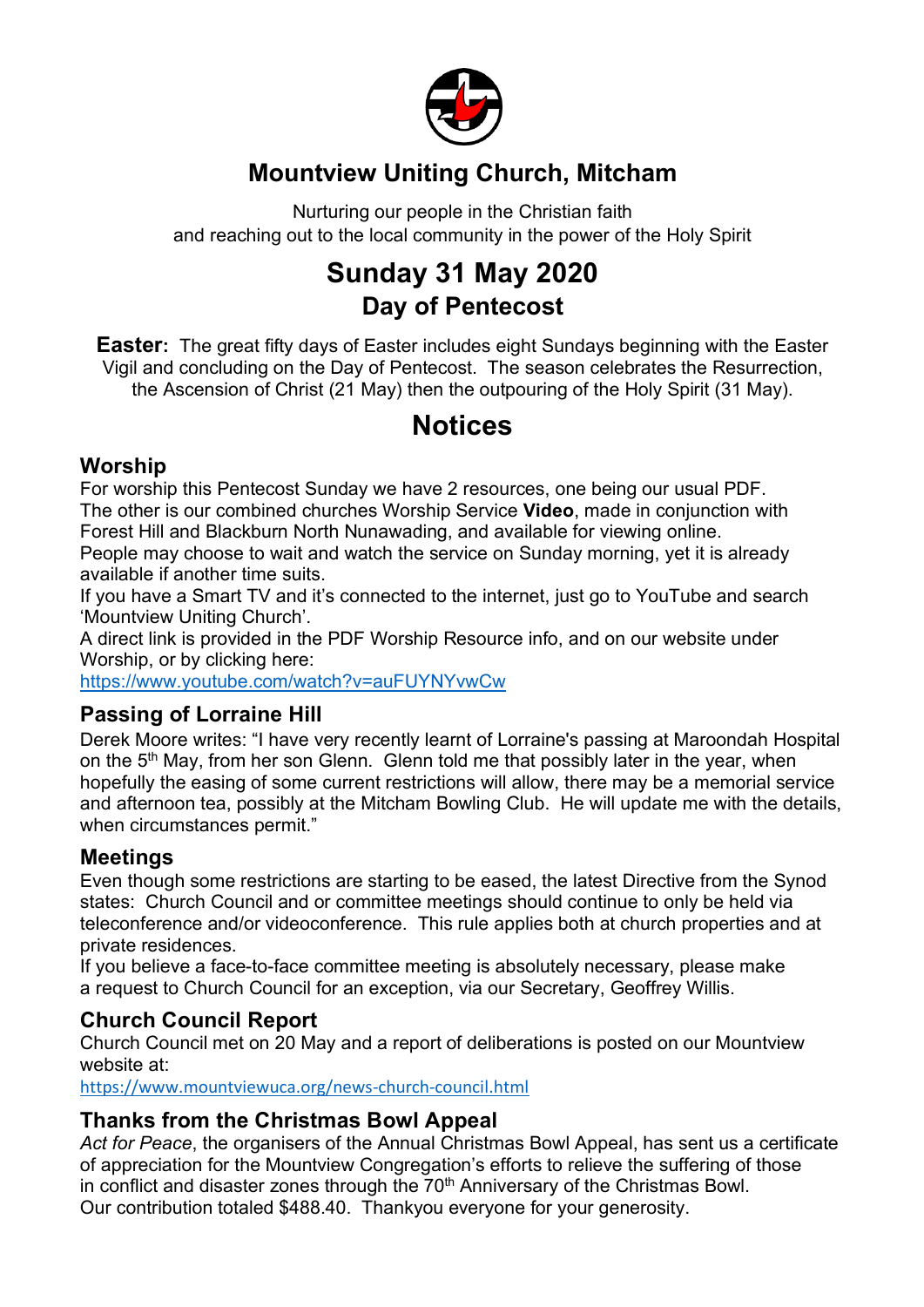

### **Mountview Uniting Church, Mitcham**

Nurturing our people in the Christian faith and reaching out to the local community in the power of the Holy Spirit

## **Sunday 31 May 2020 Day of Pentecost**

**Easter:** The great fifty days of Easter includes eight Sundays beginning with the Easter Vigil and concluding on the Day of Pentecost. The season celebrates the Resurrection, the Ascension of Christ (21 May) then the outpouring of the Holy Spirit (31 May).

### **Notices**

#### **Worship**

For worship this Pentecost Sunday we have 2 resources, one being our usual PDF. The other is our combined churches Worship Service **Video**, made in conjunction with Forest Hill and Blackburn North Nunawading, and available for viewing online.

People may choose to wait and watch the service on Sunday morning, yet it is already available if another time suits.

If you have a Smart TV and it's connected to the internet, just go to YouTube and search 'Mountview Uniting Church'.

A direct link is provided in the PDF Worship Resource info, and on our website under Worship, or by clicking here:

https://www.youtube.com/watch?v=auFUYNYvwCw

### **Passing of Lorraine Hill**

Derek Moore writes: "I have very recently learnt of Lorraine's passing at Maroondah Hospital on the  $5<sup>th</sup>$  May, from her son Glenn. Glenn told me that possibly later in the year, when hopefully the easing of some current restrictions will allow, there may be a memorial service and afternoon tea, possibly at the Mitcham Bowling Club. He will update me with the details, when circumstances permit."

#### **Meetings**

Even though some restrictions are starting to be eased, the latest Directive from the Synod states: Church Council and or committee meetings should continue to only be held via teleconference and/or videoconference. This rule applies both at church properties and at private residences.

If you believe a face-to-face committee meeting is absolutely necessary, please make a request to Church Council for an exception, via our Secretary, Geoffrey Willis.

#### **Church Council Report**

Church Council met on 20 May and a report of deliberations is posted on our Mountview website at:

https://www.mountviewuca.org/news-church-council.html

#### **Thanks from the Christmas Bowl Appeal**

*Act for Peace*, the organisers of the Annual Christmas Bowl Appeal, has sent us a certificate of appreciation for the Mountview Congregation's efforts to relieve the suffering of those in conflict and disaster zones through the 70<sup>th</sup> Anniversary of the Christmas Bowl. Our contribution totaled \$488.40. Thankyou everyone for your generosity.